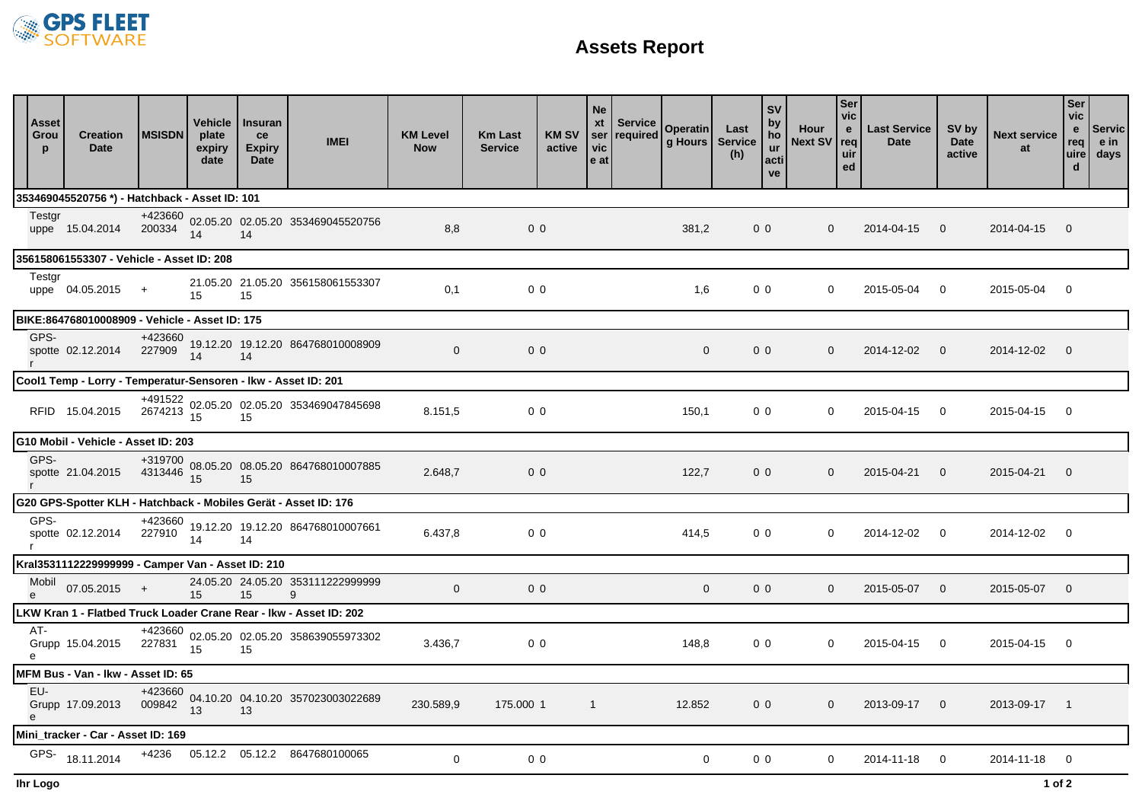

## **Assets Report**

|                                                                    | <b>Asset</b><br>Grou<br>p           | <b>Creation</b><br><b>Date</b>                                  | <b>MSISDN</b>                       | Vehicle<br>plate<br>expiry<br>date | <b>Insuran</b><br>ce<br><b>Expiry</b><br>Date | <b>IMEI</b>                                                  | <b>KM Level</b><br><b>Now</b> | <b>Km Last</b><br><b>Service</b> | <b>KM SV</b><br>active | <b>Ne</b><br>ser<br>vic<br>$ e\>$ at | xt   Service<br>required | <b>Operatin</b><br>g Hours Service | Last<br>(h) | <b>SV</b><br>by<br>ho<br><b>ur</b><br>acti<br>ve | Hour<br>Next SV req | <b>Ser</b><br>vic<br>$\mathbf{e}$<br>uir<br>ed | <b>Last Service</b><br><b>Date</b> | SV by<br><b>Date</b><br>active | <b>Next service</b><br>at | Ser<br>vic<br>$\mathbf{e}$<br>req<br>uire<br>$\mathbf d$ | Servic<br>e in<br>days |
|--------------------------------------------------------------------|-------------------------------------|-----------------------------------------------------------------|-------------------------------------|------------------------------------|-----------------------------------------------|--------------------------------------------------------------|-------------------------------|----------------------------------|------------------------|--------------------------------------|--------------------------|------------------------------------|-------------|--------------------------------------------------|---------------------|------------------------------------------------|------------------------------------|--------------------------------|---------------------------|----------------------------------------------------------|------------------------|
|                                                                    |                                     | 353469045520756 *) - Hatchback - Asset ID: 101                  |                                     |                                    |                                               |                                                              |                               |                                  |                        |                                      |                          |                                    |             |                                                  |                     |                                                |                                    |                                |                           |                                                          |                        |
|                                                                    | Testgr                              | uppe 15.04.2014                                                 | $200334$ $14$                       |                                    | 14                                            | +423660 02.05.20 02.05.20 353469045520756                    | 8,8                           | 0 <sub>0</sub>                   |                        |                                      |                          | 381,2                              |             | 0 <sub>0</sub>                                   | $\mathbf{0}$        |                                                | 2014-04-15                         | $\overline{0}$                 | 2014-04-15                | $\overline{0}$                                           |                        |
| 356158061553307 - Vehicle - Asset ID: 208                          |                                     |                                                                 |                                     |                                    |                                               |                                                              |                               |                                  |                        |                                      |                          |                                    |             |                                                  |                     |                                                |                                    |                                |                           |                                                          |                        |
|                                                                    | Testgr                              | uppe $04.05.2015 +$                                             |                                     | 15                                 | 15                                            | 21.05.20 21.05.20 356158061553307                            | 0,1                           | 0 <sub>0</sub>                   |                        |                                      |                          | 1,6                                |             | 0 <sub>0</sub>                                   | 0                   |                                                | 2015-05-04                         | $\mathbf 0$                    | 2015-05-04                | $\mathbf 0$                                              |                        |
|                                                                    |                                     | BIKE:864768010008909 - Vehicle - Asset ID: 175                  |                                     |                                    |                                               |                                                              |                               |                                  |                        |                                      |                          |                                    |             |                                                  |                     |                                                |                                    |                                |                           |                                                          |                        |
|                                                                    | GPS-<br>$\mathsf{r}$                | spotte 02.12.2014                                               | $227909$ $19.14$                    |                                    | 14                                            | +423660 19.12.20 19.12.20 864768010008909                    | $\mathbf 0$                   | 0 <sub>0</sub>                   |                        |                                      |                          | $\mathbf 0$                        |             | 0 <sub>0</sub>                                   | $\mathbf{0}$        |                                                | 2014-12-02                         | $\overline{0}$                 | 2014-12-02                | $\overline{0}$                                           |                        |
|                                                                    |                                     | Cool1 Temp - Lorry - Temperatur-Sensoren - Ikw - Asset ID: 201  |                                     |                                    |                                               |                                                              |                               |                                  |                        |                                      |                          |                                    |             |                                                  |                     |                                                |                                    |                                |                           |                                                          |                        |
|                                                                    |                                     | RFID 15.04.2015                                                 |                                     |                                    |                                               | +491522 02.05.20 02.05.20 353469047845698<br>2674213 15 15   | 8.151,5                       | 0 <sub>0</sub>                   |                        |                                      |                          | 150,1                              |             | 0 <sub>0</sub>                                   | $\mathbf 0$         |                                                | 2015-04-15                         | $\overline{0}$                 | 2015-04-15                | - 0                                                      |                        |
|                                                                    | G10 Mobil - Vehicle - Asset ID: 203 |                                                                 |                                     |                                    |                                               |                                                              |                               |                                  |                        |                                      |                          |                                    |             |                                                  |                     |                                                |                                    |                                |                           |                                                          |                        |
|                                                                    | GPS-<br>$\mathsf{r}$                | spotte 21.04.2015                                               | $4313446$ $15$                      |                                    | 15                                            | +319700 08.05.20 08.05.20 864768010007885                    | 2.648,7                       | 0 <sub>0</sub>                   |                        |                                      |                          | 122,7                              |             | 0 <sub>0</sub>                                   | $\mathbf 0$         |                                                | 2015-04-21                         | $\overline{0}$                 | 2015-04-21                | $\overline{0}$                                           |                        |
|                                                                    |                                     | G20 GPS-Spotter KLH - Hatchback - Mobiles Gerät - Asset ID: 176 |                                     |                                    |                                               |                                                              |                               |                                  |                        |                                      |                          |                                    |             |                                                  |                     |                                                |                                    |                                |                           |                                                          |                        |
|                                                                    | GPS-<br>$\mathbf{r}$                | spotte 02.12.2014                                               |                                     |                                    |                                               | +423660<br>227910 19.12.20 19.12.20 864768010007661<br>14 14 | 6.437,8                       | 0 <sub>0</sub>                   |                        |                                      |                          | 414,5                              |             | 0 <sub>0</sub>                                   | $\mathbf 0$         |                                                | 2014-12-02                         | $\overline{0}$                 | 2014-12-02                | $\overline{\phantom{0}}$                                 |                        |
|                                                                    |                                     | Kral3531112229999999 - Camper Van - Asset ID: 210               |                                     |                                    |                                               |                                                              |                               |                                  |                        |                                      |                          |                                    |             |                                                  |                     |                                                |                                    |                                |                           |                                                          |                        |
|                                                                    | Mobil<br>e                          | $07.05.2015 +$                                                  |                                     | 15                                 | 15                                            | 24.05.20 24.05.20 353111222999999<br>9                       | $\mathbf{0}$                  | 0 <sub>0</sub>                   |                        |                                      |                          | $\mathbf 0$                        |             | 0 <sub>0</sub>                                   | $\mathbf{0}$        |                                                | 2015-05-07                         | $\mathbf{0}$                   | 2015-05-07                | $\overline{0}$                                           |                        |
| LKW Kran 1 - Flatbed Truck Loader Crane Rear - Ikw - Asset ID: 202 |                                     |                                                                 |                                     |                                    |                                               |                                                              |                               |                                  |                        |                                      |                          |                                    |             |                                                  |                     |                                                |                                    |                                |                           |                                                          |                        |
|                                                                    | AT-<br>е                            | Grupp 15.04.2015                                                | +423660<br>$227831$ $\frac{02}{15}$ |                                    | 15                                            | 02.05.20 02.05.20 358639055973302                            | 3.436,7                       | 0 <sub>0</sub>                   |                        |                                      |                          | 148,8                              |             | 0 <sub>0</sub>                                   | $\mathbf 0$         |                                                | 2015-04-15                         | $\overline{0}$                 | 2015-04-15                | $\overline{0}$                                           |                        |
| MFM Bus - Van - Ikw - Asset ID: 65                                 |                                     |                                                                 |                                     |                                    |                                               |                                                              |                               |                                  |                        |                                      |                          |                                    |             |                                                  |                     |                                                |                                    |                                |                           |                                                          |                        |
|                                                                    | EU-                                 | Grupp 17.09.2013                                                | $009842$ $^{04}$                    |                                    | 13                                            | +423660<br>04.10.20 04.10.20 357023003022689                 | 230.589,9                     | 175.000 1                        |                        | $\overline{1}$                       |                          | 12.852                             |             | 0 <sub>0</sub>                                   | $\mathbf 0$         |                                                | 2013-09-17                         | $\overline{0}$                 | 2013-09-17 1              |                                                          |                        |
| Mini_tracker - Car - Asset ID: 169                                 |                                     |                                                                 |                                     |                                    |                                               |                                                              |                               |                                  |                        |                                      |                          |                                    |             |                                                  |                     |                                                |                                    |                                |                           |                                                          |                        |
|                                                                    |                                     | GPS- 18.11.2014                                                 | $+4236$                             |                                    |                                               | 05.12.2  05.12.2  8647680100065                              | $\mathbf 0$                   | 0 <sub>0</sub>                   |                        |                                      |                          | 0                                  |             | 0 <sub>0</sub>                                   | 0                   |                                                | 2014-11-18                         | - 0                            | 2014-11-18                | 0                                                        |                        |